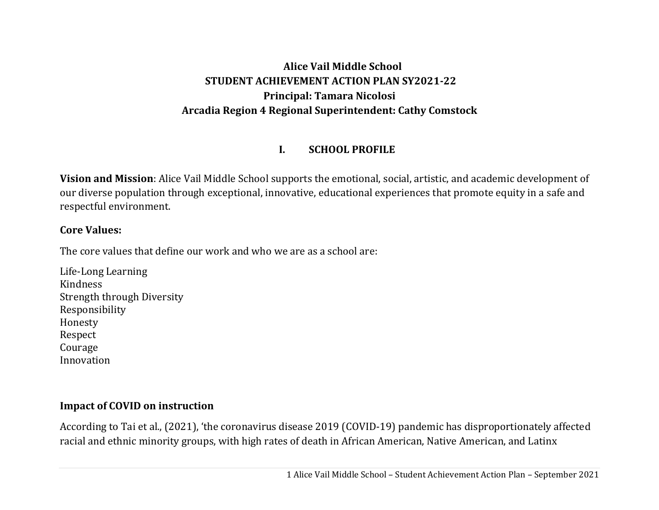### **Alice Vail Middle School STUDENT ACHIEVEMENT ACTION PLAN SY2021‐22 Principal: Tamara Nicolosi Arcadia Region 4 Regional Superintendent: Cathy Comstock**

#### **I.SCHOOL PROFILE**

**Vision and Mission**: Alice Vail Middle School supports the emotional, social, artistic, and academic development of our diverse population through exceptional, innovative, educational experiences that promote equity in a safe and respectful environment.

#### **Core Values:**

The core values that define our work and who we are as a school are:

Life-Long Learning Kindness Strength through Diversity Responsibility Honesty Respect Courage Innovation

### **Impact of COVID on instruction**

According to Tai et al., (2021), 'the coronavirus disease 2019 (COVID-19) pandemic has disproportionately affected racial and ethnic minority groups, with high rates of death in African American, Native American, and Latinx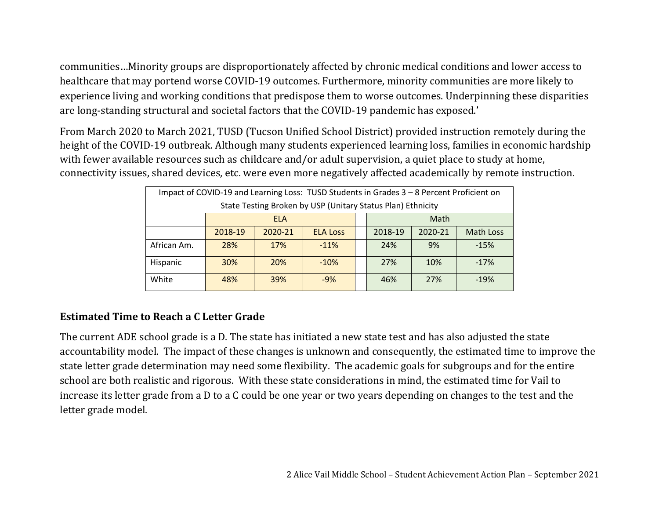communities…Minority groups are disproportionately affected by chronic medical conditions and lower access to healthcare that may portend worse COVID-19 outcomes. Furthermore, minority communities are more likely to experience living and working conditions that predispose them to worse outcomes. Underpinning these disparities are long-standing structural and societal factors that the COVID-19 pandemic has exposed.'

From March 2020 to March 2021, TUSD (Tucson Unified School District) provided instruction remotely during the height of the COVID-19 outbreak. Although many students experienced learning loss, families in economic hardship with fewer available resources such as childcare and/or adult supervision, a quiet place to study at home, connectivity issues, shared devices, etc. were even more negatively affected academically by remote instruction.

| Impact of COVID-19 and Learning Loss: TUSD Students in Grades 3 - 8 Percent Proficient on |            |         |                 |  |         |         |                  |  |
|-------------------------------------------------------------------------------------------|------------|---------|-----------------|--|---------|---------|------------------|--|
| State Testing Broken by USP (Unitary Status Plan) Ethnicity                               |            |         |                 |  |         |         |                  |  |
|                                                                                           | <b>ELA</b> |         |                 |  |         | Math    |                  |  |
|                                                                                           | 2018-19    | 2020-21 | <b>ELA Loss</b> |  | 2018-19 | 2020-21 | <b>Math Loss</b> |  |
| African Am.                                                                               | 28%        | 17%     | $-11%$          |  | 24%     | 9%      | $-15%$           |  |
| Hispanic                                                                                  | 30%        | 20%     | $-10%$          |  | 27%     | 10%     | $-17%$           |  |
| White                                                                                     | 48%        | 39%     | $-9%$           |  | 46%     | 27%     | $-19%$           |  |

### **Estimated Time to Reach <sup>a</sup> C Letter Grade**

The current ADE school grade is a D. The state has initiated a new state test and has also adjusted the state accountability model. The impact of these changes is unknown and consequently, the estimated time to improve the state letter grade determination may need some flexibility. The academic goals for subgroups and for the entire school are both realistic and rigorous. With these state considerations in mind, the estimated time for Vail to increase its letter grade from a D to a C could be one year or two years depending on changes to the test and the letter grade model.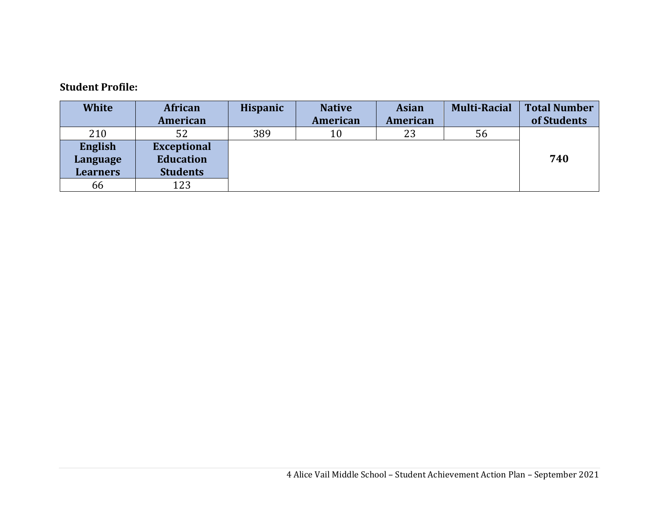#### **Student Profile:**

| <b>White</b>    | <b>African</b>     | <b>Hispanic</b> | <b>Native</b> | <b>Asian</b> | <b>Multi-Racial</b> | <b>Total Number</b> |
|-----------------|--------------------|-----------------|---------------|--------------|---------------------|---------------------|
|                 | American           |                 | American      | American     |                     | of Students         |
| 210             | 52                 | 389             | 10            | 23           | 56                  |                     |
| English         | <b>Exceptional</b> |                 |               |              |                     |                     |
| Language        | <b>Education</b>   |                 |               |              |                     | 740                 |
| <b>Learners</b> | <b>Students</b>    |                 |               |              |                     |                     |
| 66              | 123                |                 |               |              |                     |                     |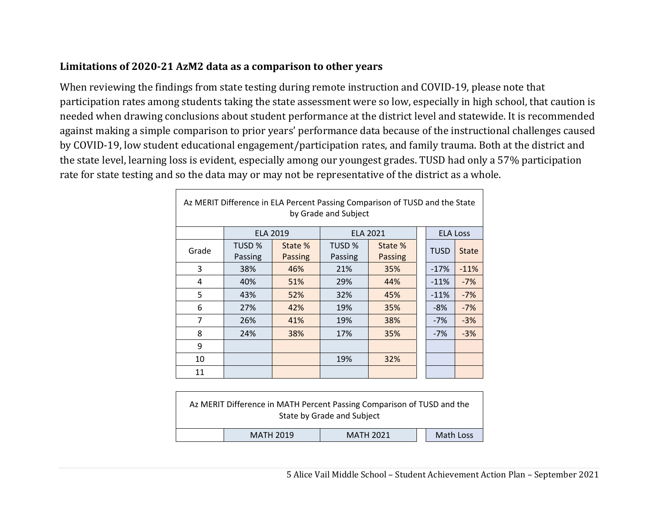#### **Limitations of 2020‐21 AzM2 data as <sup>a</sup> comparison to other years**

 $\Gamma$ 

When reviewing the findings from state testing during remote instruction and COVID-19, please note that participation rates among students taking the state assessment were so low, especially in high school, that caution is needed when drawing conclusions about student performance at the district level and statewide. It is recommended against making a simple comparison to prior years' performance data because of the instructional challenges caused by COVID-19, low student educational engagement/participation rates, and family trauma. Both at the district and the state level, learning loss is evident, especially among our youngest grades. TUSD had only a 57% participation rate for state testing and so the data may or may not be representative of the district as a whole.

| Az MERIT Difference in ELA Percent Passing Comparison of TUSD and the State<br>by Grade and Subject |                   |                           |                   |                           |  |                 |              |  |
|-----------------------------------------------------------------------------------------------------|-------------------|---------------------------|-------------------|---------------------------|--|-----------------|--------------|--|
|                                                                                                     | <b>ELA 2019</b>   |                           | <b>ELA 2021</b>   |                           |  | <b>ELA Loss</b> |              |  |
| Grade                                                                                               | TUSD %<br>Passing | State %<br><b>Passing</b> | TUSD %<br>Passing | State %<br><b>Passing</b> |  | <b>TUSD</b>     | <b>State</b> |  |
| 3                                                                                                   | 38%               | 46%                       | 21%               | 35%                       |  | $-17%$          | $-11%$       |  |
| 4                                                                                                   | 40%               | 51%                       | 29%               | 44%                       |  | $-11%$          | $-7%$        |  |
| 5                                                                                                   | 43%               | 52%                       | 32%               | 45%                       |  | $-11%$          | $-7%$        |  |
| 6                                                                                                   | 27%               | 42%                       | 19%               | 35%                       |  | $-8%$           | $-7%$        |  |
| 7                                                                                                   | 26%               | 41%                       | 19%               | 38%                       |  | $-7%$           | $-3%$        |  |
| 8                                                                                                   | 24%               | 38%                       | 17%               | 35%                       |  | $-7%$           | $-3%$        |  |
| 9                                                                                                   |                   |                           |                   |                           |  |                 |              |  |
| 10                                                                                                  |                   |                           | 19%               | 32%                       |  |                 |              |  |
| 11                                                                                                  |                   |                           |                   |                           |  |                 |              |  |

|                                                   |  | Az MERIT Difference in MATH Percent Passing Comparison of TUSD and the<br>State by Grade and Subject |  |  |  |
|---------------------------------------------------|--|------------------------------------------------------------------------------------------------------|--|--|--|
| Math Loss<br><b>MATH 2019</b><br><b>MATH 2021</b> |  |                                                                                                      |  |  |  |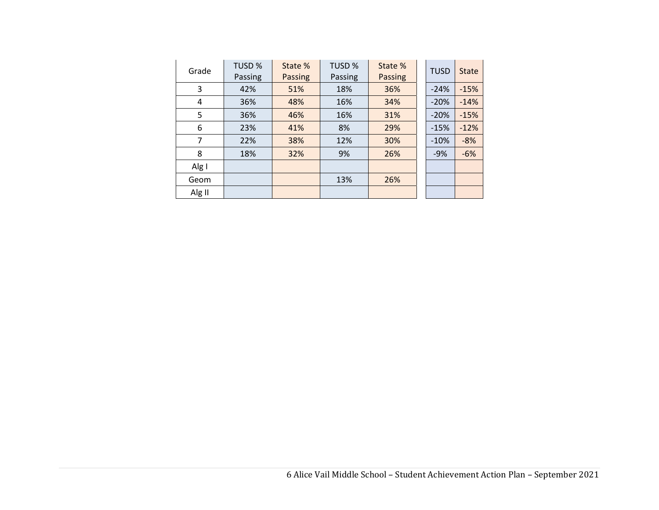| Grade  | <b>TUSD %</b><br>Passing | State %<br>Passing | TUSD %<br>Passing | State %<br><b>Passing</b> | <b>TUSD</b> | <b>State</b> |
|--------|--------------------------|--------------------|-------------------|---------------------------|-------------|--------------|
| 3      | 42%                      | 51%                | 18%               | 36%                       | $-24%$      | $-15%$       |
| 4      | 36%                      | 48%                | 16%               | 34%                       | $-20%$      | $-14%$       |
| 5      | 36%                      | 46%                | 16%               | 31%                       | $-20%$      | $-15%$       |
| 6      | 23%                      | 41%                | 8%                | 29%                       | $-15%$      | $-12%$       |
| 7      | 22%                      | 38%                | 12%               | 30%                       | $-10%$      | $-8%$        |
| 8      | 18%                      | 32%                | 9%                | 26%                       | $-9%$       | $-6%$        |
| Alg I  |                          |                    |                   |                           |             |              |
| Geom   |                          |                    | 13%               | 26%                       |             |              |
| Alg II |                          |                    |                   |                           |             |              |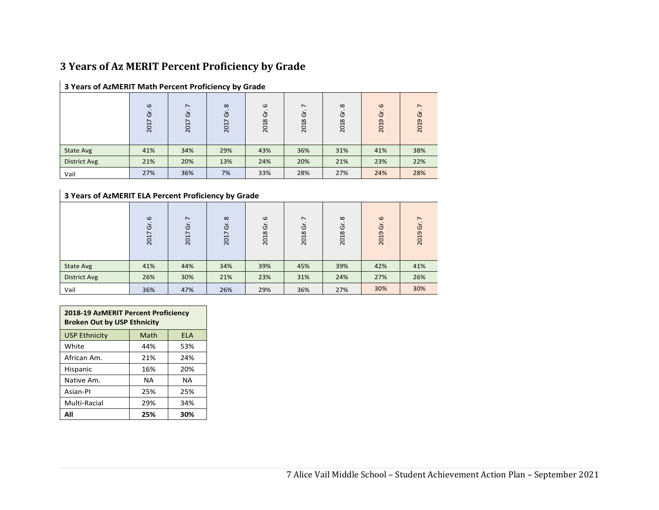#### **3 Years of Az MERIT Percent Proficiency by Grade**

|                     | $\omega$<br>Ğ<br>2017 | $\overline{ }$<br>Ğ<br>∼<br>201 | $\infty$<br>Ū<br>∼<br>201 | $\omega$<br>উ<br>2018 | $\overline{ }$<br>উ<br>2018 | $\infty$<br>উ<br>2018 | $\omega$<br>উ<br>2019 | $\overline{\phantom{0}}$<br>Ū<br>2019 |
|---------------------|-----------------------|---------------------------------|---------------------------|-----------------------|-----------------------------|-----------------------|-----------------------|---------------------------------------|
| State Avg           | 41%                   | 34%                             | 29%                       | 43%                   | 36%                         | 31%                   | 41%                   | 38%                                   |
| <b>District Avg</b> | 21%                   | 20%                             | 13%                       | 24%                   | 20%                         | 21%                   | 23%                   | 22%                                   |
| Vail                | 27%                   | 36%                             | 7%                        | 33%                   | 28%                         | 27%                   | 24%                   | 28%                                   |

#### **3 Years of AzMERIT Math Percent Proficiency by Grade**

#### **3 Years of AzMERIT ELA Percent Proficiency by Grade**

|                     | $\omega$<br>Ğ<br>201 | $\overline{ }$<br>Ğ<br>↖<br>201 | $\infty$<br>উ<br>$\overline{ }$<br>201 | $\omega$<br>উ<br>2018 | $\overline{ }$<br>উ<br>2018 | $\infty$<br>উ<br>2018 | $\omega$<br>উ<br>2019 | $\overline{ }$<br>ত<br>2019 |
|---------------------|----------------------|---------------------------------|----------------------------------------|-----------------------|-----------------------------|-----------------------|-----------------------|-----------------------------|
| State Avg           | 41%                  | 44%                             | 34%                                    | 39%                   | 45%                         | 39%                   | 42%                   | 41%                         |
| <b>District Avg</b> | 26%                  | 30%                             | 21%                                    | 23%                   | 31%                         | 24%                   | 27%                   | 26%                         |
| Vail                | 36%                  | 47%                             | 26%                                    | 29%                   | 36%                         | 27%                   | 30%                   | 30%                         |

| 2018-19 AzMERIT Percent Proficiency<br><b>Broken Out by USP Ethnicity</b> |      |            |  |  |  |
|---------------------------------------------------------------------------|------|------------|--|--|--|
| <b>USP Ethnicity</b>                                                      | Math | <b>ELA</b> |  |  |  |
| White                                                                     | 44%  | 53%        |  |  |  |
| African Am.                                                               | 21%  | 24%        |  |  |  |
| Hispanic                                                                  | 16%  | 20%        |  |  |  |
| Native Am.                                                                | NΑ   | NΑ         |  |  |  |
| Asian-Pl                                                                  | 25%  | 25%        |  |  |  |
| Multi-Racial<br>29%<br>34%                                                |      |            |  |  |  |
| Αll                                                                       | 25%  | 30%        |  |  |  |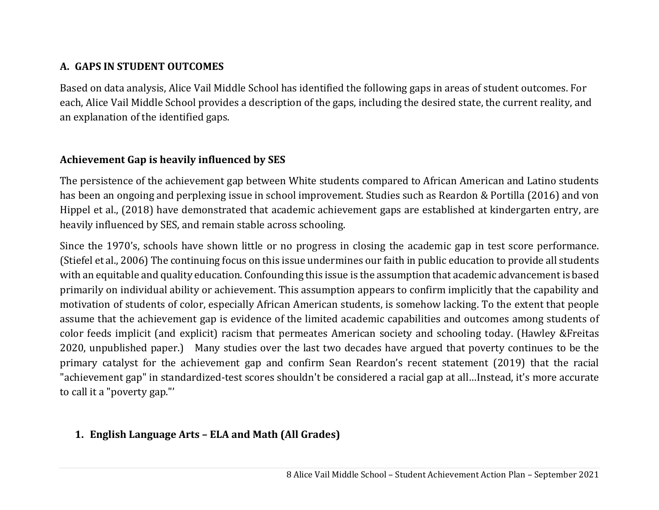#### **A. GAPS IN STUDENT OUTCOMES**

Based on data analysis, Alice Vail Middle School has identified the following gaps in areas of student outcomes. For each, Alice Vail Middle School provides a description of the gaps, including the desired state, the current reality, and an explanation of the identified gaps.

### **Achievement Gap is heavily influenced by SES**

The persistence of the achievement gap between White students compared to African American and Latino students has been an ongoing and perplexing issue in school improvement. Studies such as Reardon & Portilla (2016) and von Hippel et al., (2018) have demonstrated that academic achievement gaps are established at kindergarten entry, are heavily influenced by SES, and remain stable across schooling.

Since the 1970's, schools have shown little or no progress in closing the academic gap in test score performance. (Stiefel et al., 2006) The continuing focus on this issue undermines our faith in public education to provide all students with an equitable and quality education. Confounding this issue is the assumption that academic advancement is based primarily on individual ability or achievement. This assumption appears to confirm implicitly that the capability and motivation of students of color, especially African American students, is somehow lacking. To the extent that people assume that the achievement gap is evidence of the limited academic capabilities and outcomes among students of color feeds implicit (and explicit) racism that permeates American society and schooling today. (Hawley &Freitas 2020, unpublished paper.) Many studies over the last two decades have argued that poverty continues to be the primary catalyst for the achievement gap and confirm Sean Reardon's recent statement (2019) that the racial "achievement gap" in standardized-test scores shouldn't be considered a racial gap at all…Instead, it's more accurate to call it a "poverty gap."'

### **1. English Language Arts – ELA and Math (All Grades)**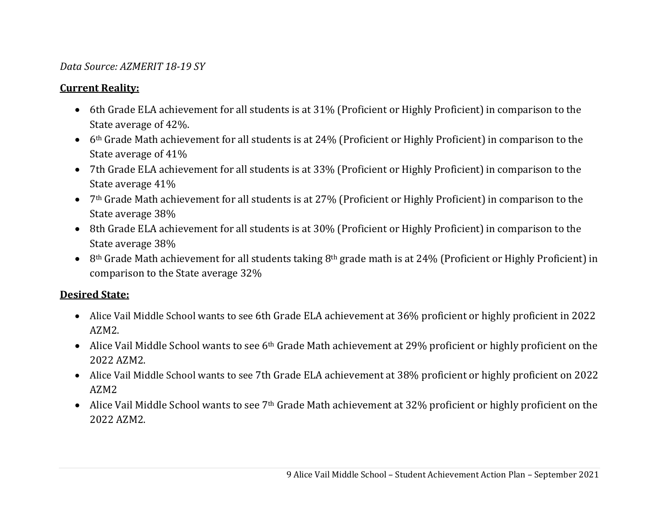#### *Data Source: AZMERIT 18‐19 SY*

#### **Current Reality:**

- 6th Grade ELA achievement for all students is at 31% (Proficient or Highly Proficient) in comparison to the State average of 42%.
- $\bullet$  6th Grade Math achievement for all students is at 24% (Proficient or Highly Proficient) in comparison to the State average of 41%
- 7th Grade ELA achievement for all students is at 33% (Proficient or Highly Proficient) in comparison to the State average 41%
- 7th Grade Math achievement for all students is at 27% (Proficient or Highly Proficient) in comparison to the State average 38%
- 8th Grade ELA achievement for all students is at 30% (Proficient or Highly Proficient) in comparison to the State average 38%
- $\bullet$  8<sup>th</sup> Grade Math achievement for all students taking 8<sup>th</sup> grade math is at 24% (Proficient or Highly Proficient) in comparison to the State average 32%

#### **Desired State:**

- Alice Vail Middle School wants to see 6th Grade ELA achievement at 36% proficient or highly proficient in 2022 AZM2.
- $\bullet$  Alice Vail Middle School wants to see 6th Grade Math achievement at 29% proficient or highly proficient on the 2022 AZM2.
- Alice Vail Middle School wants to see 7th Grade ELA achievement at 38% proficient or highly proficient on 2022 AZM2
- Alice Vail Middle School wants to see 7th Grade Math achievement at 32% proficient or highly proficient on the 2022 AZM2.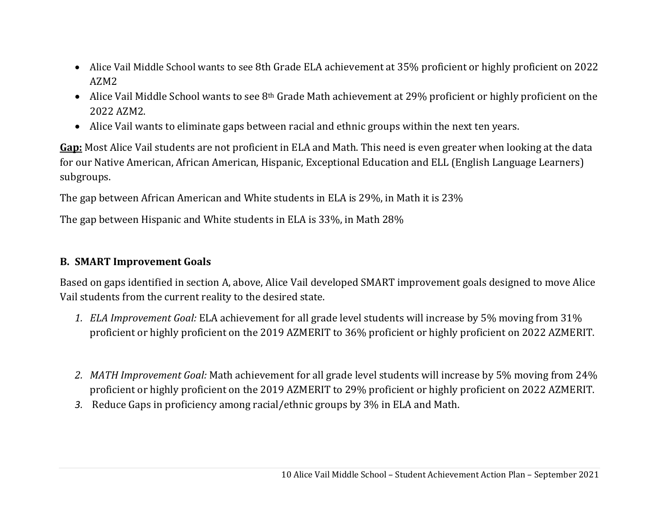- Alice Vail Middle School wants to see 8th Grade ELA achievement at 35% proficient or highly proficient on 2022 AZM2
- $\bullet$  Alice Vail Middle School wants to see 8th Grade Math achievement at 29% proficient or highly proficient on the 2022 AZM2.
- Alice Vail wants to eliminate gaps between racial and ethnic groups within the next ten years.

**Gap:** Most Alice Vail students are not proficient in ELA and Math. This need is even greater when looking at the data for our Native American, African American, Hispanic, Exceptional Education and ELL (English Language Learners) subgroups.

The gap between African American and White students in ELA is 29%, in Math it is 23%

The gap between Hispanic and White students in ELA is 33%, in Math 28%

#### **B. SMART Improvement Goals**

Based on gaps identified in section A, above, Alice Vail developed SMART improvement goals designed to move Alice Vail students from the current reality to the desired state.

- *1. ELA Improvement Goal:* ELA achievement for all grade level students will increase by 5% moving from 31% proficient or highly proficient on the 2019 AZMERIT to 36% proficient or highly proficient on 2022 AZMERIT.
- *2. MATH Improvement Goal:* Math achievement for all grade level students will increase by 5% moving from 24% proficient or highly proficient on the 2019 AZMERIT to 29% proficient or highly proficient on 2022 AZMERIT.
- *3.* Reduce Gaps in proficiency among racial/ethnic groups by 3% in ELA and Math.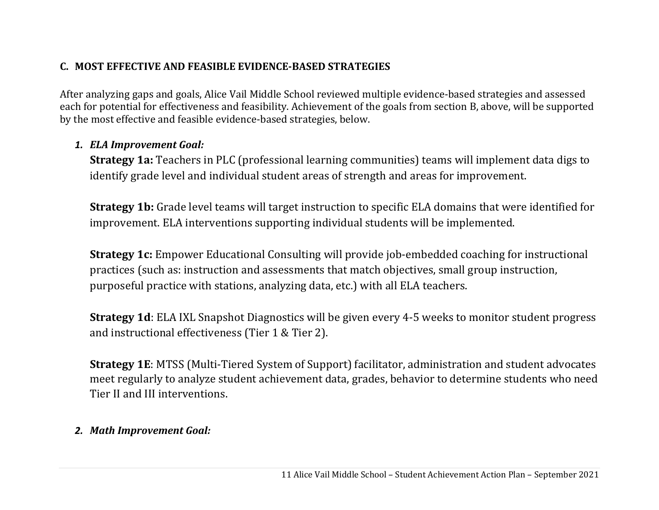#### **C. MOST EFFECTIVE AND FEASIBLE EVIDENCE‐BASED STRATEGIES**

After analyzing gaps and goals, Alice Vail Middle School reviewed multiple evidence-based strategies and assessed each for potential for effectiveness and feasibility. Achievement of the goals from section B, above, will be supported by the most effective and feasible evidence-based strategies, below.

#### *1. ELA Improvement Goal:*

**Strategy 1a:** Teachers in PLC (professional learning communities) teams will implement data digs to identify grade level and individual student areas of strength and areas for improvement.

**Strategy 1b:** Grade level teams will target instruction to specific ELA domains that were identified for improvement. ELA interventions supporting individual students will be implemented.

**Strategy 1c:** Empower Educational Consulting will provide job-embedded coaching for instructional practices (such as: instruction and assessments that match objectives, small group instruction, purposeful practice with stations, analyzing data, etc.) with all ELA teachers.

**Strategy 1d**: ELA IXL Snapshot Diagnostics will be given every 4-5 weeks to monitor student progress and instructional effectiveness (Tier 1 & Tier 2).

**Strategy 1E**: MTSS (Multi-Tiered System of Support) facilitator, administration and student advocates meet regularly to analyze student achievement data, grades, behavior to determine students who need Tier II and III interventions.

### *2. Math Improvement Goal:*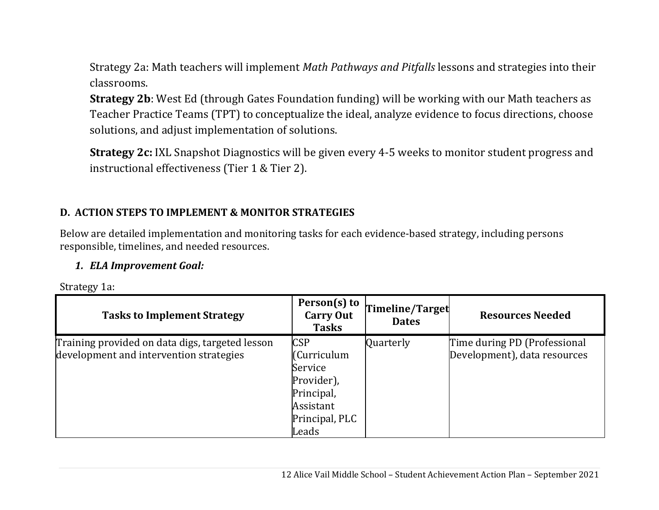Strategy 2a: Math teachers will implement *Math Pathways and Pitfalls* lessons and strategies into their classrooms.

**Strategy 2b**: West Ed (through Gates Foundation funding) will be working with our Math teachers as Teacher Practice Teams (TPT) to conceptualize the ideal, analyze evidence to focus directions, choose solutions, and adjust implementation of solutions.

**Strategy 2c:** IXL Snapshot Diagnostics will be given every 4-5 weeks to monitor student progress and instructional effectiveness (Tier 1 & Tier 2).

#### **D. ACTION STEPS TO IMPLEMENT & MONITOR STRATEGIES**

Below are detailed implementation and monitoring tasks for each evidence-based strategy, including persons responsible, timelines, and needed resources.

#### *1. ELA Improvement Goal:*

Strategy 1a:

| <b>Tasks to Implement Strategy</b>              | Person(s) to<br><b>Carry Out</b><br><b>Tasks</b> | Timeline/Target<br><b>Dates</b> | <b>Resources Needed</b>      |
|-------------------------------------------------|--------------------------------------------------|---------------------------------|------------------------------|
| Training provided on data digs, targeted lesson | <b>CSP</b>                                       | Quarterly                       | Time during PD (Professional |
| development and intervention strategies         | Curriculum                                       |                                 | Development), data resources |
|                                                 | Service                                          |                                 |                              |
|                                                 | Provider),                                       |                                 |                              |
|                                                 | Principal,                                       |                                 |                              |
|                                                 | Assistant                                        |                                 |                              |
|                                                 | Principal, PLC                                   |                                 |                              |
|                                                 | Leads                                            |                                 |                              |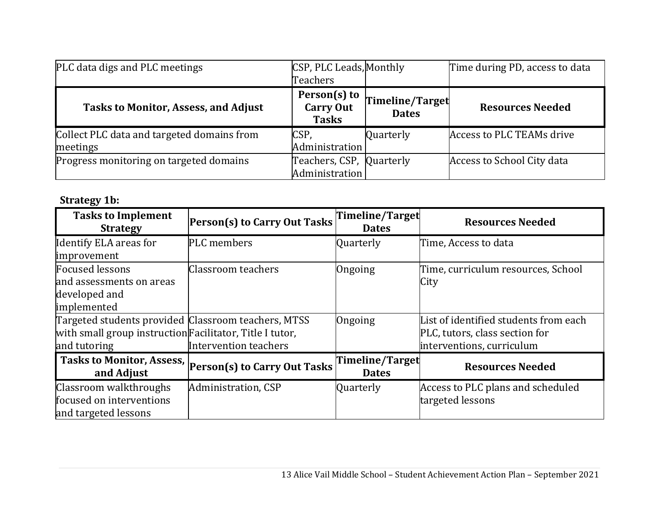| PLC data digs and PLC meetings                         | CSP, PLC Leads, Monthly                          |                                 | Time during PD, access to data |
|--------------------------------------------------------|--------------------------------------------------|---------------------------------|--------------------------------|
|                                                        | Teachers                                         |                                 |                                |
| <b>Tasks to Monitor, Assess, and Adjust</b>            | Person(s) to<br><b>Carry Out</b><br><b>Tasks</b> | Timeline/Target<br><b>Dates</b> | <b>Resources Needed</b>        |
| Collect PLC data and targeted domains from<br>meetings | CSP,<br>Administration                           | Quarterly                       | Access to PLC TEAMs drive      |
| Progress monitoring on targeted domains                | Teachers, CSP, Quarterly<br>Administration       |                                 | Access to School City data     |

# **Strategy 1b:**

| <b>Tasks to Implement</b><br><b>Strategy</b>             | <b>Person(s) to Carry Out Tasks</b>                    | Timeline/Target<br><b>Dates</b> | <b>Resources Needed</b>               |
|----------------------------------------------------------|--------------------------------------------------------|---------------------------------|---------------------------------------|
| Identify ELA areas for                                   | PLC members                                            | Quarterly                       | Time, Access to data                  |
| improvement                                              |                                                        |                                 |                                       |
| <b>Focused lessons</b>                                   | Classroom teachers                                     | Ongoing                         | Time, curriculum resources, School    |
| and assessments on areas                                 |                                                        |                                 | City                                  |
| developed and                                            |                                                        |                                 |                                       |
| implemented                                              |                                                        |                                 |                                       |
| Targeted students provided Classroom teachers, MTSS      |                                                        | Ongoing                         | List of identified students from each |
| with small group instruction Facilitator, Title I tutor, |                                                        |                                 | PLC, tutors, class section for        |
| and tutoring                                             | Intervention teachers                                  |                                 | interventions, curriculum             |
| and Adjust                                               | Tasks to Monitor, Assess, Person(s) to Carry Out Tasks | Timeline/Target<br><b>Dates</b> | <b>Resources Needed</b>               |
| Classroom walkthroughs                                   | Administration, CSP                                    | Quarterly                       | Access to PLC plans and scheduled     |
| focused on interventions                                 |                                                        |                                 | targeted lessons                      |
| and targeted lessons                                     |                                                        |                                 |                                       |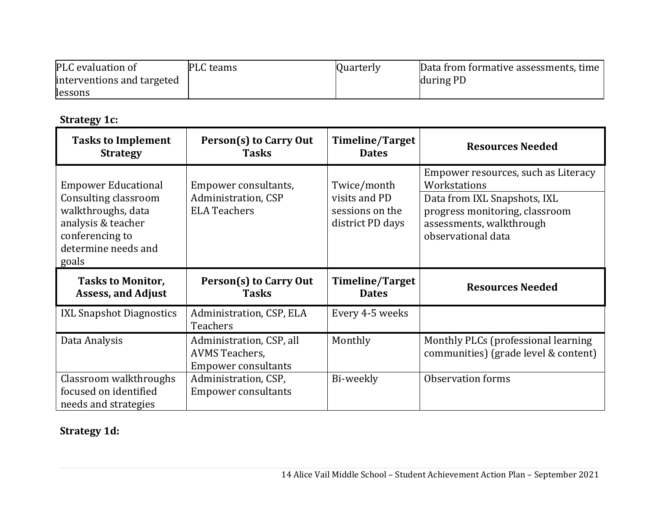| PLC evaluation of          | <b>PLC</b> teams | Quarterly | Data from formative assessments, time |
|----------------------------|------------------|-----------|---------------------------------------|
| interventions and targeted |                  |           | during PD                             |
| lessons                    |                  |           |                                       |

| <b>Strategy 1c:</b> |  |
|---------------------|--|
|---------------------|--|

| <b>Tasks to Implement</b><br><b>Strategy</b>                                                                                                      | Person(s) to Carry Out<br><b>Tasks</b>                                          | Timeline/Target<br><b>Dates</b>                                     | <b>Resources Needed</b>                                                                                                                                                 |
|---------------------------------------------------------------------------------------------------------------------------------------------------|---------------------------------------------------------------------------------|---------------------------------------------------------------------|-------------------------------------------------------------------------------------------------------------------------------------------------------------------------|
| <b>Empower Educational</b><br>Consulting classroom<br>walkthroughs, data<br>analysis & teacher<br>conferencing to<br>determine needs and<br>goals | Empower consultants,<br>Administration, CSP<br><b>ELA Teachers</b>              | Twice/month<br>visits and PD<br>sessions on the<br>district PD days | Empower resources, such as Literacy<br>Workstations<br>Data from IXL Snapshots, IXL<br>progress monitoring, classroom<br>assessments, walkthrough<br>observational data |
|                                                                                                                                                   |                                                                                 |                                                                     |                                                                                                                                                                         |
| <b>Tasks to Monitor,</b><br><b>Assess, and Adjust</b>                                                                                             | Person(s) to Carry Out<br><b>Tasks</b>                                          | Timeline/Target<br><b>Dates</b>                                     | <b>Resources Needed</b>                                                                                                                                                 |
| <b>IXL Snapshot Diagnostics</b>                                                                                                                   | Administration, CSP, ELA<br>Teachers                                            | Every 4-5 weeks                                                     |                                                                                                                                                                         |
| Data Analysis                                                                                                                                     | Administration, CSP, all<br><b>AVMS Teachers,</b><br><b>Empower consultants</b> | Monthly                                                             | Monthly PLCs (professional learning<br>communities) (grade level & content)                                                                                             |

# **Strategy 1d:**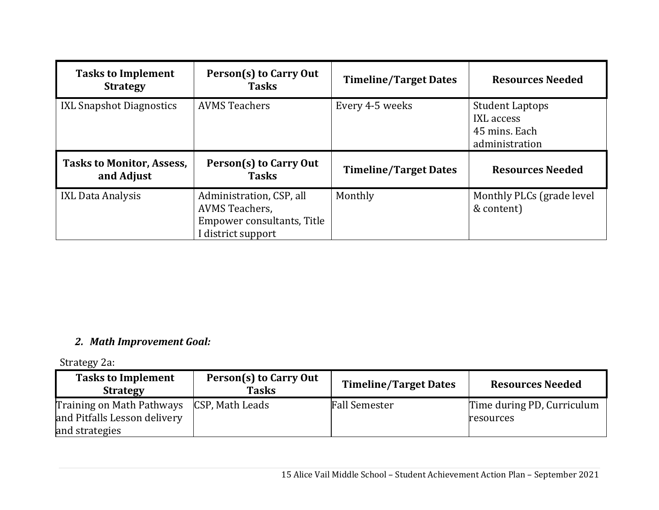| <b>Tasks to Implement</b><br><b>Strategy</b>   | Person(s) to Carry Out<br><b>Tasks</b> | <b>Timeline/Target Dates</b> | <b>Resources Needed</b>                                                 |
|------------------------------------------------|----------------------------------------|------------------------------|-------------------------------------------------------------------------|
| <b>IXL Snapshot Diagnostics</b>                | <b>AVMS Teachers</b>                   | Every 4-5 weeks              | <b>Student Laptops</b><br>IXL access<br>45 mins. Each<br>administration |
|                                                |                                        |                              |                                                                         |
| <b>Tasks to Monitor, Assess,</b><br>and Adjust | Person(s) to Carry Out<br><b>Tasks</b> | <b>Timeline/Target Dates</b> | <b>Resources Needed</b>                                                 |

#### *2. Math Improvement Goal:*

Strategy 2a:

| <b>Tasks to Implement</b><br><b>Strategy</b>   | Person(s) to Carry Out<br><b>Tasks</b> | <b>Timeline/Target Dates</b> | <b>Resources Needed</b>    |
|------------------------------------------------|----------------------------------------|------------------------------|----------------------------|
| Training on Math Pathways                      | CSP, Math Leads                        | <b>Fall Semester</b>         | Time during PD, Curriculum |
| and Pitfalls Lesson delivery<br>and strategies |                                        |                              | resources                  |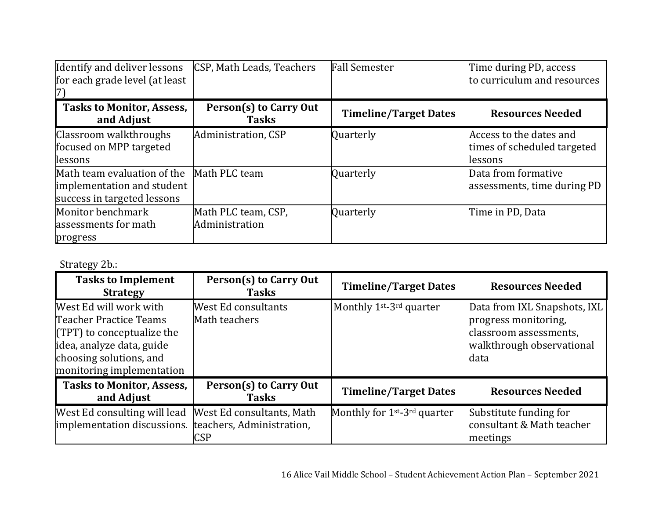| Identify and deliver lessons<br>for each grade level (at least                           | CSP, Math Leads, Teachers              | <b>Fall Semester</b>         | Time during PD, access<br>to curriculum and resources             |
|------------------------------------------------------------------------------------------|----------------------------------------|------------------------------|-------------------------------------------------------------------|
|                                                                                          |                                        |                              |                                                                   |
| <b>Tasks to Monitor, Assess,</b><br>and Adjust                                           | Person(s) to Carry Out<br><b>Tasks</b> | <b>Timeline/Target Dates</b> | <b>Resources Needed</b>                                           |
| Classroom walkthroughs<br>focused on MPP targeted<br>lessons                             | Administration, CSP                    | Quarterly                    | Access to the dates and<br>times of scheduled targeted<br>lessons |
| Math team evaluation of the<br>implementation and student<br>success in targeted lessons | Math PLC team                          | Quarterly                    | Data from formative<br>assessments, time during PD                |
| Monitor benchmark<br>assessments for math<br>progress                                    | Math PLC team, CSP,<br>Administration  | Quarterly                    | Time in PD, Data                                                  |

Strategy 2b.:

| <b>Tasks to Implement</b><br><b>Strategy</b>                                                                                                                          | Person(s) to Carry Out<br><b>Tasks</b>                               | <b>Timeline/Target Dates</b>                         | <b>Resources Needed</b>                                                                                             |
|-----------------------------------------------------------------------------------------------------------------------------------------------------------------------|----------------------------------------------------------------------|------------------------------------------------------|---------------------------------------------------------------------------------------------------------------------|
| West Ed will work with<br>Teacher Practice Teams<br>$(TPT)$ to conceptualize the<br>idea, analyze data, guide<br>choosing solutions, and<br>monitoring implementation | West Ed consultants<br>Math teachers                                 | Monthly 1 <sup>st</sup> -3 <sup>rd</sup> quarter     | Data from IXL Snapshots, IXL<br>progress monitoring,<br>classroom assessments,<br>walkthrough observational<br>data |
| <b>Tasks to Monitor, Assess,</b><br>and Adjust                                                                                                                        | Person(s) to Carry Out<br><b>Tasks</b>                               | <b>Timeline/Target Dates</b>                         | <b>Resources Needed</b>                                                                                             |
| West Ed consulting will lead<br>implementation discussions.                                                                                                           | West Ed consultants, Math<br>teachers, Administration,<br><b>CSP</b> | Monthly for 1 <sup>st</sup> -3 <sup>rd</sup> quarter | Substitute funding for<br>consultant & Math teacher<br>meetings                                                     |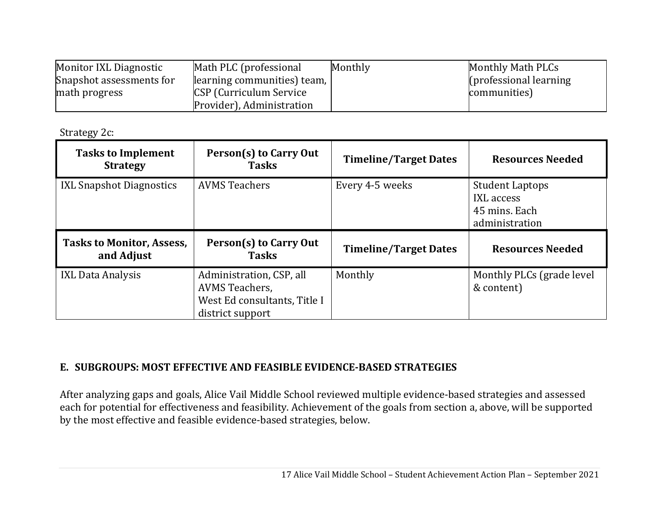| Monitor IXL Diagnostic   | Math PLC (professional         | Monthly | Monthly Math PLCs       |
|--------------------------|--------------------------------|---------|-------------------------|
| Snapshot assessments for | learning communities) team,    |         | (professional learning) |
| math progress            | <b>CSP</b> (Curriculum Service |         | communities)            |
|                          | Provider), Administration      |         |                         |

Strategy 2c:

| <b>Tasks to Implement</b><br><b>Strategy</b>   | Person(s) to Carry Out<br><b>Tasks</b> | <b>Timeline/Target Dates</b> | <b>Resources Needed</b>                                                 |
|------------------------------------------------|----------------------------------------|------------------------------|-------------------------------------------------------------------------|
| <b>IXL Snapshot Diagnostics</b>                | <b>AVMS Teachers</b>                   | Every 4-5 weeks              | <b>Student Laptops</b><br>IXL access<br>45 mins. Each<br>administration |
|                                                |                                        |                              |                                                                         |
| <b>Tasks to Monitor, Assess,</b><br>and Adjust | Person(s) to Carry Out<br><b>Tasks</b> | <b>Timeline/Target Dates</b> | <b>Resources Needed</b>                                                 |

#### **E. SUBGROUPS: MOST EFFECTIVE AND FEASIBLE EVIDENCE‐BASED STRATEGIES**

After analyzing gaps and goals, Alice Vail Middle School reviewed multiple evidence-based strategies and assessed each for potential for effectiveness and feasibility. Achievement of the goals from section a, above, will be supported by the most effective and feasible evidence-based strategies, below.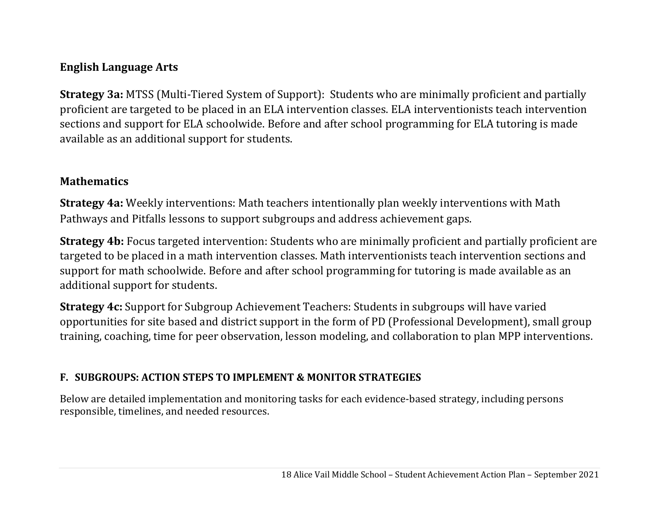### **English Language Arts**

**Strategy 3a:** MTSS (Multi-Tiered System of Support): Students who are minimally proficient and partially proficient are targeted to be placed in an ELA intervention classes. ELA interventionists teach intervention sections and support for ELA schoolwide. Before and after school programming for ELA tutoring is made available as an additional support for students.

#### **Mathematics**

**Strategy 4a:** Weekly interventions: Math teachers intentionally plan weekly interventions with Math Pathways and Pitfalls lessons to support subgroups and address achievement gaps.

**Strategy 4b:** Focus targeted intervention: Students who are minimally proficient and partially proficient are targeted to be placed in a math intervention classes. Math interventionists teach intervention sections and support for math schoolwide. Before and after school programming for tutoring is made available as an additional support for students.

**Strategy 4c:** Support for Subgroup Achievement Teachers: Students in subgroups will have varied opportunities for site based and district support in the form of PD (Professional Development), small group training, coaching, time for peer observation, lesson modeling, and collaboration to plan MPP interventions.

### **F. SUBGROUPS: ACTION STEPS TO IMPLEMENT & MONITOR STRATEGIES**

Below are detailed implementation and monitoring tasks for each evidence-based strategy, including persons responsible, timelines, and needed resources.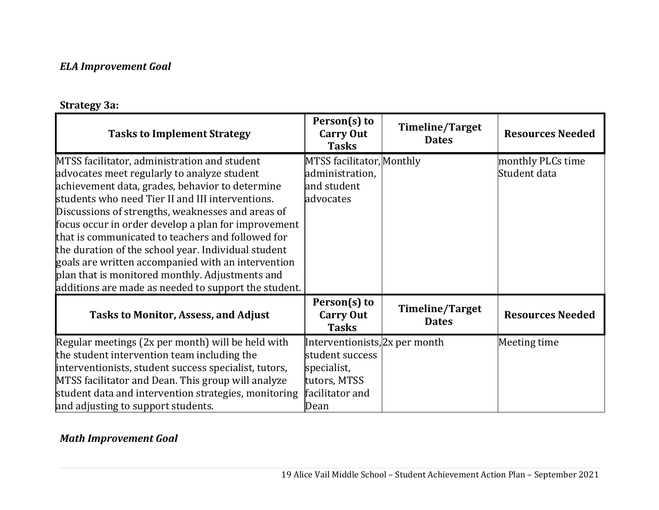#### *ELA Improvement Goal*

#### **Strategy 3a:**

| <b>Tasks to Implement Strategy</b>                                                                                                                                                                                                                                                                                                                                                                                                                                                                                                                                                          | Person(s) to<br><b>Carry Out</b><br><b>Tasks</b>                                                            | <b>Timeline/Target</b><br><b>Dates</b> | <b>Resources Needed</b>           |
|---------------------------------------------------------------------------------------------------------------------------------------------------------------------------------------------------------------------------------------------------------------------------------------------------------------------------------------------------------------------------------------------------------------------------------------------------------------------------------------------------------------------------------------------------------------------------------------------|-------------------------------------------------------------------------------------------------------------|----------------------------------------|-----------------------------------|
| MTSS facilitator, administration and student<br>advocates meet regularly to analyze student<br>achievement data, grades, behavior to determine<br>students who need Tier II and III interventions.<br>Discussions of strengths, weaknesses and areas of<br>focus occur in order develop a plan for improvement<br>that is communicated to teachers and followed for<br>the duration of the school year. Individual student<br>goals are written accompanied with an intervention<br>plan that is monitored monthly. Adjustments and<br>additions are made as needed to support the student. | MTSS facilitator, Monthly<br>administration,<br>and student<br>advocates                                    |                                        | monthly PLCs time<br>Student data |
| <b>Tasks to Monitor, Assess, and Adjust</b>                                                                                                                                                                                                                                                                                                                                                                                                                                                                                                                                                 | Person(s) to<br><b>Carry Out</b><br><b>Tasks</b>                                                            | <b>Timeline/Target</b><br><b>Dates</b> | <b>Resources Needed</b>           |
| Regular meetings (2x per month) will be held with<br>the student intervention team including the<br>interventionists, student success specialist, tutors,<br>MTSS facilitator and Dean. This group will analyze<br>student data and intervention strategies, monitoring<br>and adjusting to support students.                                                                                                                                                                                                                                                                               | Interventionists, 2x per month<br>student success<br>specialist,<br>tutors, MTSS<br>facilitator and<br>Dean |                                        | Meeting time                      |

#### *Math Improvement Goal*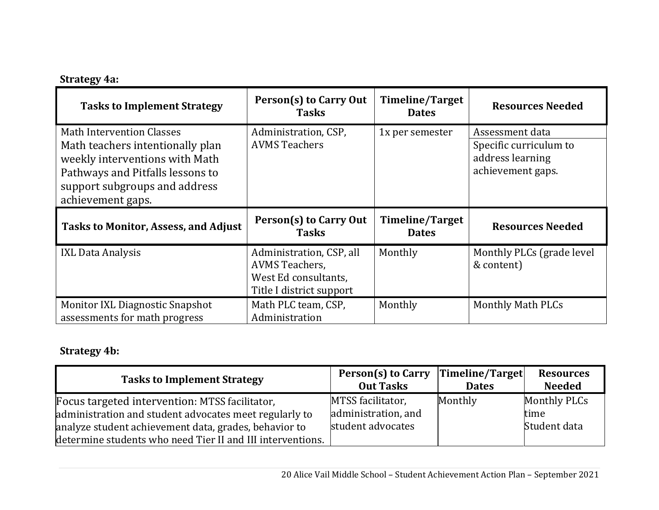## **Strategy 4a:**

| <b>Tasks to Implement Strategy</b>                                                                                                                                                               | Person(s) to Carry Out<br><b>Tasks</b>                                                                | Timeline/Target<br><b>Dates</b> | <b>Resources Needed</b>                                                            |
|--------------------------------------------------------------------------------------------------------------------------------------------------------------------------------------------------|-------------------------------------------------------------------------------------------------------|---------------------------------|------------------------------------------------------------------------------------|
| <b>Math Intervention Classes</b><br>Math teachers intentionally plan<br>weekly interventions with Math<br>Pathways and Pitfalls lessons to<br>support subgroups and address<br>achievement gaps. | Administration, CSP,<br><b>AVMS Teachers</b>                                                          | 1x per semester                 | Assessment data<br>Specific curriculum to<br>address learning<br>achievement gaps. |
|                                                                                                                                                                                                  |                                                                                                       |                                 |                                                                                    |
| <b>Tasks to Monitor, Assess, and Adjust</b>                                                                                                                                                      | Person(s) to Carry Out<br><b>Tasks</b>                                                                | Timeline/Target<br><b>Dates</b> | <b>Resources Needed</b>                                                            |
| <b>IXL Data Analysis</b>                                                                                                                                                                         | Administration, CSP, all<br><b>AVMS Teachers,</b><br>West Ed consultants,<br>Title I district support | Monthly                         | Monthly PLCs (grade level<br>& content)                                            |

# **Strategy 4b:**

| <b>Tasks to Implement Strategy</b>                                                                                                                                                                                              | Person(s) to Carry Timeline/Target<br><b>Out Tasks</b>        | <b>Dates</b> | <b>Resources</b><br><b>Needed</b>    |
|---------------------------------------------------------------------------------------------------------------------------------------------------------------------------------------------------------------------------------|---------------------------------------------------------------|--------------|--------------------------------------|
| Focus targeted intervention: MTSS facilitator,<br>administration and student advocates meet regularly to<br>analyze student achievement data, grades, behavior to<br>determine students who need Tier II and III interventions. | MTSS facilitator,<br>administration, and<br>student advocates | Monthly      | Monthly PLCs<br>time<br>Student data |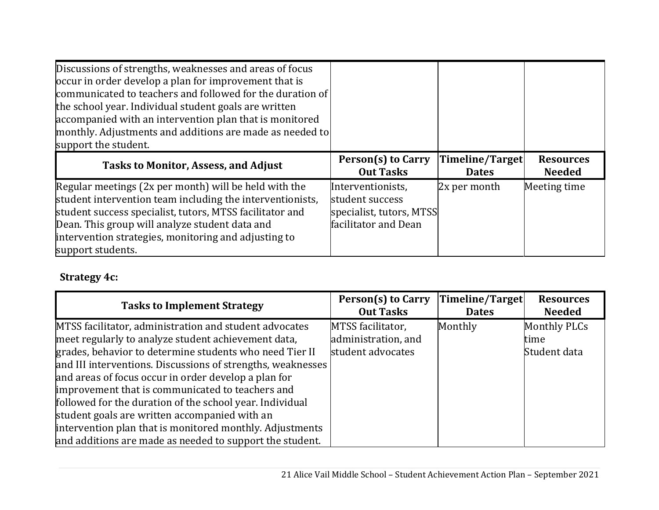| Discussions of strengths, weaknesses and areas of focus<br>occur in order develop a plan for improvement that is<br>communicated to teachers and followed for the duration of<br>the school year. Individual student goals are written<br>accompanied with an intervention plan that is monitored<br>monthly. Adjustments and additions are made as needed to<br>support the student. |                                                                                          |                                 |                                   |
|---------------------------------------------------------------------------------------------------------------------------------------------------------------------------------------------------------------------------------------------------------------------------------------------------------------------------------------------------------------------------------------|------------------------------------------------------------------------------------------|---------------------------------|-----------------------------------|
| <b>Tasks to Monitor, Assess, and Adjust</b>                                                                                                                                                                                                                                                                                                                                           | Person(s) to Carry<br><b>Out Tasks</b>                                                   | Timeline/Target<br><b>Dates</b> | <b>Resources</b><br><b>Needed</b> |
| Regular meetings (2x per month) will be held with the<br>student intervention team including the interventionists,<br>student success specialist, tutors, MTSS facilitator and<br>Dean. This group will analyze student data and<br>intervention strategies, monitoring and adjusting to<br>support students.                                                                         | Interventionists,<br>student success<br>specialist, tutors, MTSS<br>facilitator and Dean | 2x per month                    | Meeting time                      |

## **Strategy 4c:**

| <b>Tasks to Implement Strategy</b>                          | <b>Person(s) to Carry</b><br><b>Out Tasks</b> | Timeline/Target<br><b>Dates</b> | <b>Resources</b><br><b>Needed</b> |
|-------------------------------------------------------------|-----------------------------------------------|---------------------------------|-----------------------------------|
| MTSS facilitator, administration and student advocates      | MTSS facilitator,                             | Monthly                         | Monthly PLCs                      |
| meet regularly to analyze student achievement data,         | administration, and                           |                                 | time                              |
| grades, behavior to determine students who need Tier II     | student advocates                             |                                 | Student data                      |
| and III interventions. Discussions of strengths, weaknesses |                                               |                                 |                                   |
| and areas of focus occur in order develop a plan for        |                                               |                                 |                                   |
| improvement that is communicated to teachers and            |                                               |                                 |                                   |
| followed for the duration of the school year. Individual    |                                               |                                 |                                   |
| student goals are written accompanied with an               |                                               |                                 |                                   |
| intervention plan that is monitored monthly. Adjustments    |                                               |                                 |                                   |
| and additions are made as needed to support the student.    |                                               |                                 |                                   |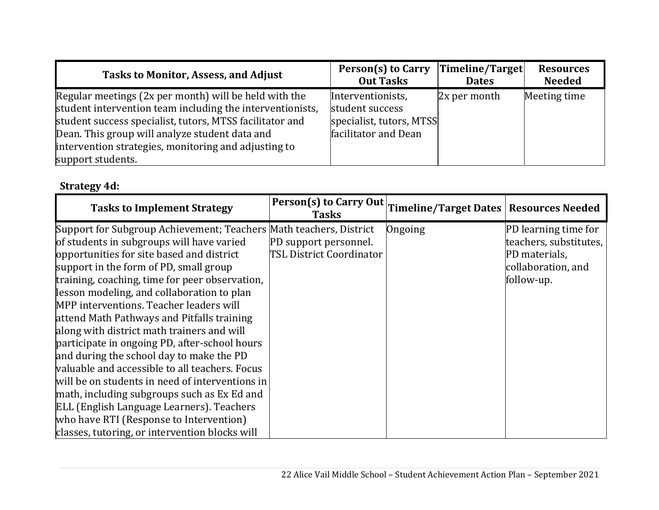| <b>Tasks to Monitor, Assess, and Adjust</b>                                                                                                                                                                                                                                                                   | Person(s) to Carry                                                                       | Timeline/Target | <b>Resources</b> |
|---------------------------------------------------------------------------------------------------------------------------------------------------------------------------------------------------------------------------------------------------------------------------------------------------------------|------------------------------------------------------------------------------------------|-----------------|------------------|
|                                                                                                                                                                                                                                                                                                               | <b>Out Tasks</b>                                                                         | <b>Dates</b>    | <b>Needed</b>    |
| Regular meetings (2x per month) will be held with the<br>student intervention team including the interventionists,<br>student success specialist, tutors, MTSS facilitator and<br>Dean. This group will analyze student data and<br>intervention strategies, monitoring and adjusting to<br>support students. | Interventionists,<br>student success<br>specialist, tutors, MTSS<br>facilitator and Dean | $2x$ per month  | Meeting time     |

# **Strategy 4d:**

| <b>Tasks to Implement Strategy</b>                                 | <b>Person(s) to Carry Out</b><br><b>Tasks</b> | Timeline/Target Dates   Resources Needed |                             |
|--------------------------------------------------------------------|-----------------------------------------------|------------------------------------------|-----------------------------|
| Support for Subgroup Achievement; Teachers Math teachers, District |                                               | Ongoing                                  | <b>PD</b> learning time for |
| of students in subgroups will have varied                          | PD support personnel.                         |                                          | teachers, substitutes,      |
| opportunities for site based and district                          | TSL District Coordinator                      |                                          | PD materials,               |
| support in the form of PD, small group                             |                                               |                                          | collaboration, and          |
| training, coaching, time for peer observation,                     |                                               |                                          | follow-up.                  |
| lesson modeling, and collaboration to plan                         |                                               |                                          |                             |
| MPP interventions. Teacher leaders will                            |                                               |                                          |                             |
| attend Math Pathways and Pitfalls training                         |                                               |                                          |                             |
| along with district math trainers and will                         |                                               |                                          |                             |
| participate in ongoing PD, after-school hours                      |                                               |                                          |                             |
| and during the school day to make the PD                           |                                               |                                          |                             |
| valuable and accessible to all teachers. Focus                     |                                               |                                          |                             |
| will be on students in need of interventions in                    |                                               |                                          |                             |
| math, including subgroups such as Ex Ed and                        |                                               |                                          |                             |
| ELL (English Language Learners). Teachers                          |                                               |                                          |                             |
| who have RTI (Response to Intervention)                            |                                               |                                          |                             |
| classes, tutoring, or intervention blocks will                     |                                               |                                          |                             |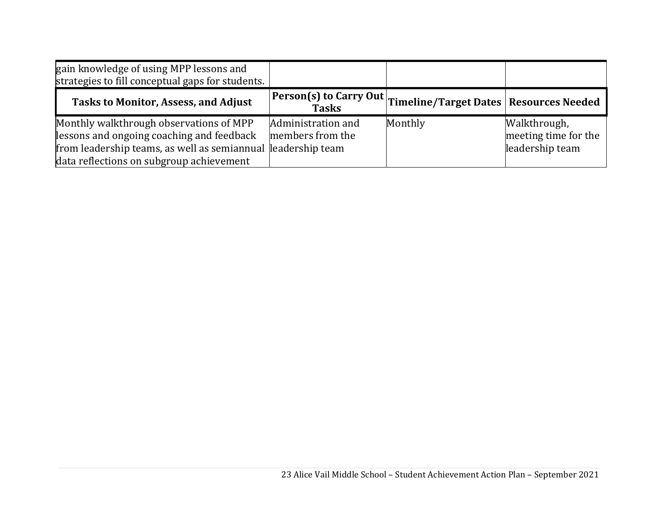| gain knowledge of using MPP lessons and<br>strategies to fill conceptual gaps for students.                                                                                                      |                                        |                                                                 |                                                         |
|--------------------------------------------------------------------------------------------------------------------------------------------------------------------------------------------------|----------------------------------------|-----------------------------------------------------------------|---------------------------------------------------------|
| <b>Tasks to Monitor, Assess, and Adjust</b>                                                                                                                                                      |                                        | Person(s) to Carry Out Timeline/Target Dates   Resources Needed |                                                         |
| Monthly walkthrough observations of MPP<br>lessons and ongoing coaching and feedback<br>from leadership teams, as well as semiannual leadership team<br>data reflections on subgroup achievement | Administration and<br>members from the | Monthly                                                         | Walkthrough,<br>meeting time for the<br>leadership team |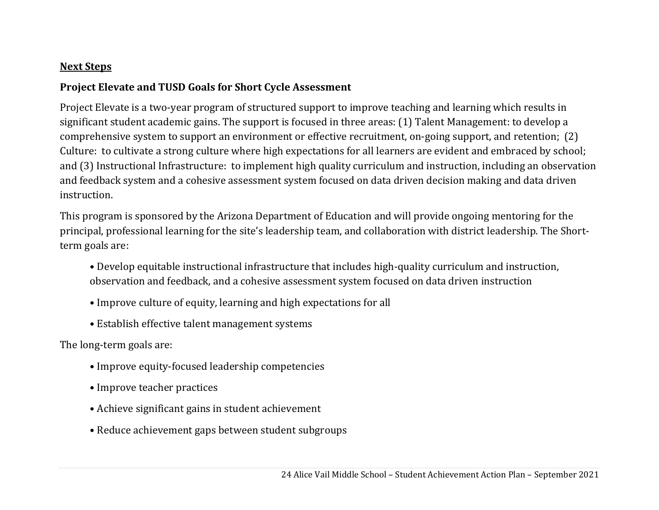#### **Next Steps**

#### **Project Elevate and TUSD Goals for Short Cycle Assessment**

Project Elevate is a two-year program of structured support to improve teaching and learning which results in significant student academic gains. The support is focused in three areas: (1) Talent Management: to develop a comprehensive system to support an environment or effective recruitment, on-going support, and retention; (2) Culture: to cultivate a strong culture where high expectations for all learners are evident and embraced by school; and (3) Instructional Infrastructure: to implement high quality curriculum and instruction, including an observation and feedback system and a cohesive assessment system focused on data driven decision making and data driven instruction.

This program is sponsored by the Arizona Department of Education and will provide ongoing mentoring for the principal, professional learning for the site's leadership team, and collaboration with district leadership. The Shortterm goals are:

- Develop equitable instructional infrastructure that includes high-quality curriculum and instruction, observation and feedback, and a cohesive assessment system focused on data driven instruction
- Improve culture of equity, learning and high expectations for all
- Establish effective talent management systems

The long-term goals are:

- Improve equity-focused leadership competencies
- Improve teacher practices
- Achieve significant gains in student achievement
- Reduce achievement gaps between student subgroups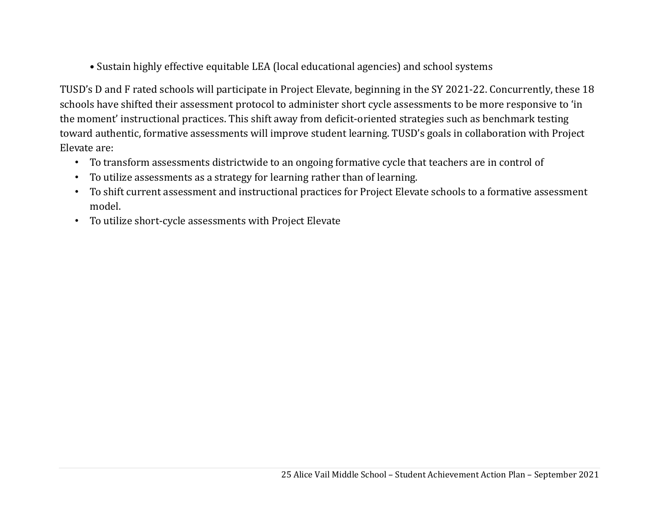• Sustain highly effective equitable LEA (local educational agencies) and school systems

TUSD's D and F rated schools will participate in Project Elevate, beginning in the SY 2021-22. Concurrently, these 18 schools have shifted their assessment protocol to administer short cycle assessments to be more responsive to 'in the moment' instructional practices. This shift away from deficit-oriented strategies such as benchmark testing toward authentic, formative assessments will improve student learning. TUSD's goals in collaboration with Project Elevate are:

- To transform assessments districtwide to an ongoing formative cycle that teachers are in control of
- To utilize assessments as a strategy for learning rather than of learning.
- To shift current assessment and instructional practices for Project Elevate schools to a formative assessment model.
- To utilize short-cycle assessments with Project Elevate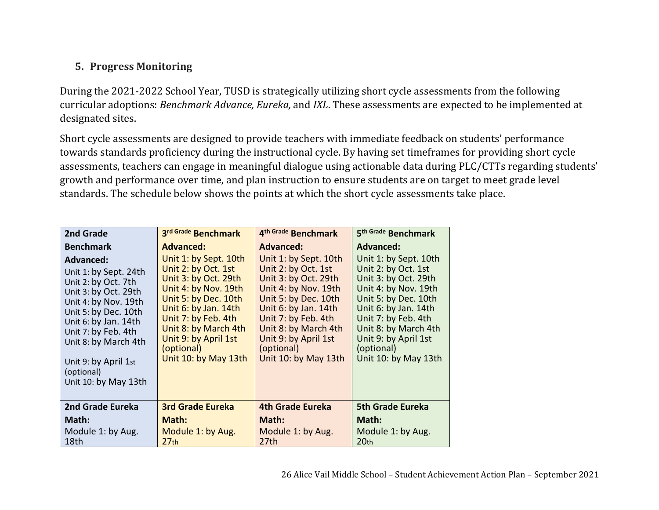### **5. Progress Monitoring**

During the 2021-2022 School Year, TUSD is strategically utilizing short cycle assessments from the following curricular adoptions: *Benchmark Advance, Eureka,* and *IXL*. These assessments are expected to be implemented at designated sites.

Short cycle assessments are designed to provide teachers with immediate feedback on students' performance towards standards proficiency during the instructional cycle. By having set timeframes for providing short cycle assessments, teachers can engage in meaningful dialogue using actionable data during PLC/CTTs regarding students' growth and performance over time, and plan instruction to ensure students are on target to meet grade level standards. The schedule below shows the points at which the short cycle assessments take place.

| 2nd Grade                                                                                                                                                 | 3rd Grade Benchmark                                                                                                                      | 4th Grade Benchmark                                                                                                                      | 5 <sup>th Grade</sup> Benchmark                                                                                                          |
|-----------------------------------------------------------------------------------------------------------------------------------------------------------|------------------------------------------------------------------------------------------------------------------------------------------|------------------------------------------------------------------------------------------------------------------------------------------|------------------------------------------------------------------------------------------------------------------------------------------|
| <b>Benchmark</b><br><b>Advanced:</b><br>Unit 1: by Sept. 24th<br>Unit 2: by Oct. 7th<br>Unit 3: by Oct. 29th<br>Unit 4: by Nov. 19th                      | <b>Advanced:</b><br>Unit 1: by Sept. 10th<br>Unit 2: by Oct. 1st<br>Unit 3: by Oct. 29th<br>Unit 4: by Nov. 19th<br>Unit 5: by Dec. 10th | <b>Advanced:</b><br>Unit 1: by Sept. 10th<br>Unit 2: by Oct. 1st<br>Unit 3: by Oct. 29th<br>Unit 4: by Nov. 19th<br>Unit 5: by Dec. 10th | <b>Advanced:</b><br>Unit 1: by Sept. 10th<br>Unit 2: by Oct. 1st<br>Unit 3: by Oct. 29th<br>Unit 4: by Nov. 19th<br>Unit 5: by Dec. 10th |
| Unit 5: by Dec. 10th<br>Unit 6: by Jan. 14th<br>Unit 7: by Feb. 4th<br>Unit 8: by March 4th<br>Unit 9: by April 1st<br>(optional)<br>Unit 10: by May 13th | Unit 6: by Jan. 14th<br>Unit 7: by Feb. 4th<br>Unit 8: by March 4th<br>Unit 9: by April 1st<br>(optional)<br>Unit 10: by May 13th        | Unit 6: by Jan. 14th<br>Unit 7: by Feb. 4th<br>Unit 8: by March 4th<br>Unit 9: by April 1st<br>(optional)<br>Unit 10: by May 13th        | Unit 6: by Jan. 14th<br>Unit 7: by Feb. 4th<br>Unit 8: by March 4th<br>Unit 9: by April 1st<br>(optional)<br>Unit 10: by May 13th        |
| <b>2nd Grade Eureka</b>                                                                                                                                   | <b>3rd Grade Eureka</b>                                                                                                                  | 4th Grade Eureka                                                                                                                         | <b>5th Grade Eureka</b>                                                                                                                  |
| Math:                                                                                                                                                     | Math:                                                                                                                                    | Math:                                                                                                                                    | Math:                                                                                                                                    |
| Module 1: by Aug.<br>18th                                                                                                                                 | Module 1: by Aug.<br>27 <sub>th</sub>                                                                                                    | Module 1: by Aug.<br>27th                                                                                                                | Module 1: by Aug.<br>20 <sub>th</sub>                                                                                                    |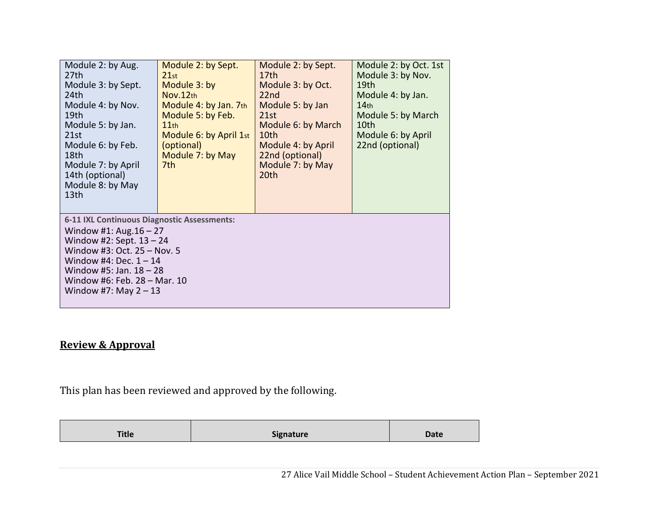| Module 2: by Aug.<br>27 <sub>th</sub><br>Module 3: by Sept.<br>24th<br>Module 4: by Nov.<br>19th<br>Module 5: by Jan.<br>21st<br>Module 6: by Feb.<br>18th<br>Module 7: by April<br>14th (optional)<br>Module 8: by May<br>13 <sub>th</sub>               | Module 2: by Sept.<br>21st<br>Module 3: by<br>Nov.12th<br>Module 4: by Jan. 7th<br>Module 5: by Feb.<br>11th<br>Module 6: by April 1st<br>(optional)<br>Module 7: by May<br>7th. | Module 2: by Sept.<br>17th<br>Module 3: by Oct.<br>22 <sub>nd</sub><br>Module 5: by Jan<br>21st<br>Module 6: by March<br>10th<br>Module 4: by April<br>22nd (optional)<br>Module 7: by May<br>20th | Module 2: by Oct. 1st<br>Module 3: by Nov.<br>19 <sub>th</sub><br>Module 4: by Jan.<br>14 <sub>th</sub><br>Module 5: by March<br>10th<br>Module 6: by April<br>22nd (optional) |  |
|-----------------------------------------------------------------------------------------------------------------------------------------------------------------------------------------------------------------------------------------------------------|----------------------------------------------------------------------------------------------------------------------------------------------------------------------------------|----------------------------------------------------------------------------------------------------------------------------------------------------------------------------------------------------|--------------------------------------------------------------------------------------------------------------------------------------------------------------------------------|--|
| 6-11 IXL Continuous Diagnostic Assessments:<br>Window #1: Aug. $16 - 27$<br>Window #2: Sept. $13 - 24$<br>Window #3: Oct. 25 - Nov. 5<br>Window #4: Dec. $1 - 14$<br>Window #5: Jan. $18 - 28$<br>Window #6: Feb. 28 - Mar. 10<br>Window #7: May $2 - 13$ |                                                                                                                                                                                  |                                                                                                                                                                                                    |                                                                                                                                                                                |  |

#### **Review & Approval**

This plan has been reviewed and approved by the following.

| <b>Title</b><br><b>Signature</b><br><b>Date</b> |  |
|-------------------------------------------------|--|
|-------------------------------------------------|--|